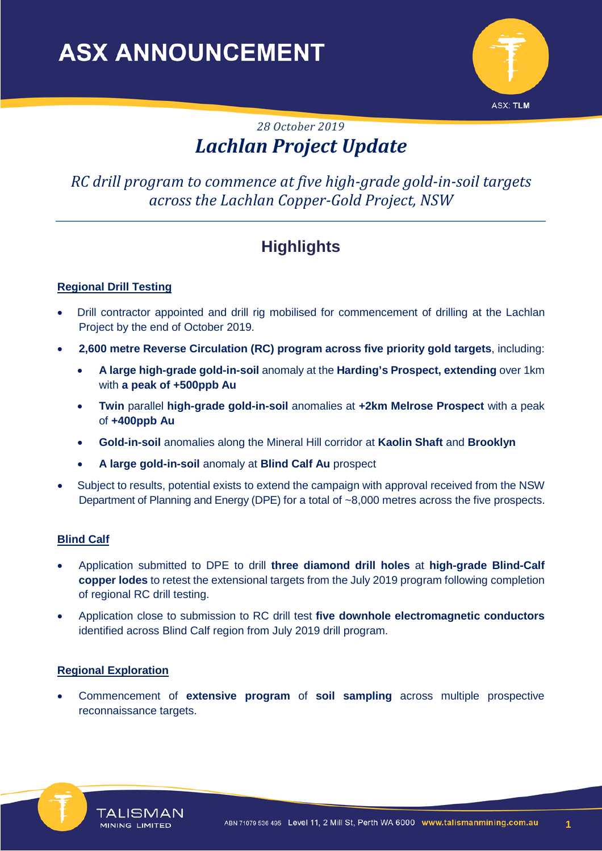

## *28 October 2019 Lachlan Project Update*

## *RC drill program to commence at five high-grade gold-in-soil targets across the Lachlan Copper-Gold Project, NSW*

# **Highlights**

### **Regional Drill Testing**

- Drill contractor appointed and drill rig mobilised for commencement of drilling at the Lachlan Project by the end of October 2019.
- **2,600 metre Reverse Circulation (RC) program across five priority gold targets**, including:
	- **A large high-grade gold-in-soil** anomaly at the **Harding's Prospect, extending** over 1km with **a peak of +500ppb Au**
	- **Twin** parallel **high-grade gold-in-soil** anomalies at **+2km Melrose Prospect** with a peak of **+400ppb Au**
	- **Gold-in-soil** anomalies along the Mineral Hill corridor at **Kaolin Shaft** and **Brooklyn**
	- **A large gold-in-soil** anomaly at **Blind Calf Au** prospect
- Subject to results, potential exists to extend the campaign with approval received from the NSW Department of Planning and Energy (DPE) for a total of ~8,000 metres across the five prospects.

#### **Blind Calf**

- Application submitted to DPE to drill **three diamond drill holes** at **high-grade Blind-Calf copper lodes** to retest the extensional targets from the July 2019 program following completion of regional RC drill testing.
- Application close to submission to RC drill test **five downhole electromagnetic conductors** identified across Blind Calf region from July 2019 drill program.

#### **Regional Exploration**

• Commencement of **extensive program** of **soil sampling** across multiple prospective reconnaissance targets.



**1**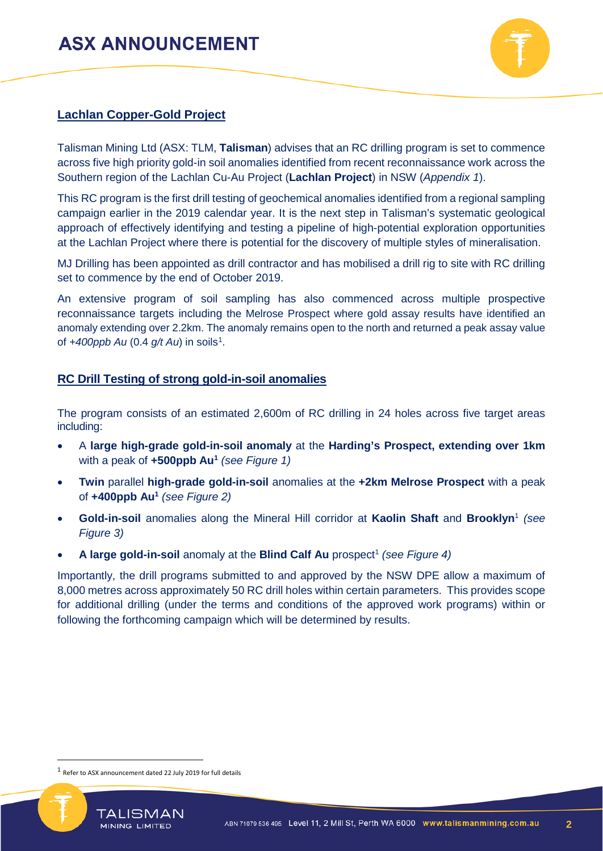

### **Lachlan Copper-Gold Project**

Talisman Mining Ltd (ASX: TLM, **Talisman**) advises that an RC drilling program is set to commence across five high priority gold-in soil anomalies identified from recent reconnaissance work across the Southern region of the Lachlan Cu-Au Project (**Lachlan Project**) in NSW (*Appendix 1*).

This RC program is the first drill testing of geochemical anomalies identified from a regional sampling campaign earlier in the 2019 calendar year. It is the next step in Talisman's systematic geological approach of effectively identifying and testing a pipeline of high-potential exploration opportunities at the Lachlan Project where there is potential for the discovery of multiple styles of mineralisation.

MJ Drilling has been appointed as drill contractor and has mobilised a drill rig to site with RC drilling set to commence by the end of October 2019.

An extensive program of soil sampling has also commenced across multiple prospective reconnaissance targets including the Melrose Prospect where gold assay results have identified an anomaly extending over 2.2km. The anomaly remains open to the north and returned a peak assay value of *+400ppb Au* (0.4 *g/t Au*) in soils[1.](#page-1-0)

### **RC Drill Testing of strong gold-in-soil anomalies**

The program consists of an estimated 2,600m of RC drilling in 24 holes across five target areas including:

- A **large high-grade gold-in-soil anomaly** at the **Harding's Prospect, extending over 1km**  with a peak of **+500ppb Au1** *(see Figure 1)*
- **Twin** parallel **high-grade gold-in-soil** anomalies at the **+2km Melrose Prospect** with a peak of **+400ppb Au1** *(see Figure 2)*
- **Gold-in-soil** anomalies along the Mineral Hill corridor at **Kaolin Shaft** and **Brooklyn**<sup>1</sup> *(see Figure 3)*
- A large gold-in-soil anomaly at the **Blind Calf Au** prospect<sup>1</sup> (see Figure 4)

Importantly, the drill programs submitted to and approved by the NSW DPE allow a maximum of 8,000 metres across approximately 50 RC drill holes within certain parameters. This provides scope for additional drilling (under the terms and conditions of the approved work programs) within or following the forthcoming campaign which will be determined by results.

MINING LIMITED

<span id="page-1-0"></span>

 <sup>1</sup> Refer to ASX announcement dated 22 July <sup>2019</sup> for full details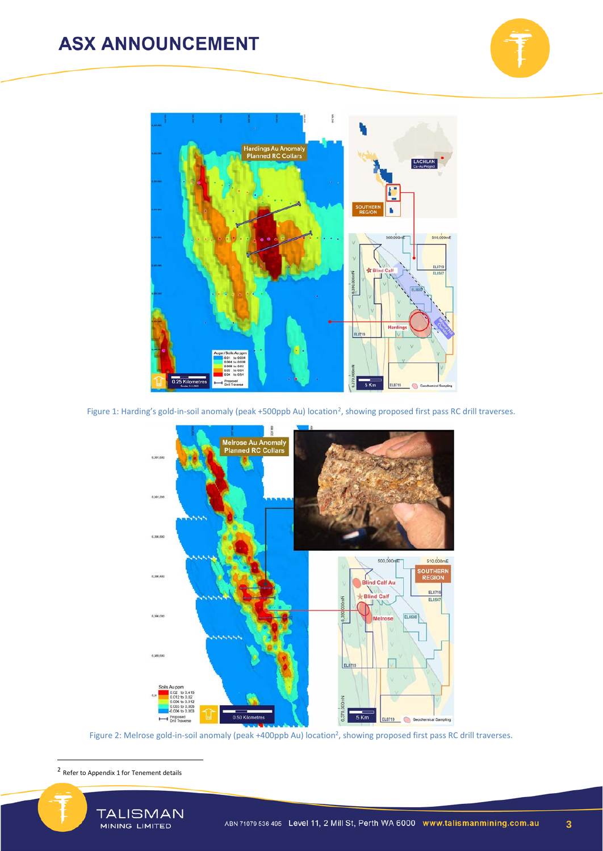



Figure 1: Harding's gold-in-soil anomaly (peak +500ppb Au) location<sup>2</sup>, showing proposed first pass RC drill traverses.



Figure 2: Melrose gold-in-soil anomaly (peak +400ppb Au) location<sup>2</sup>, showing proposed first pass RC drill traverses.

<span id="page-2-0"></span>2 Refer to Appendix 1 for Tenement details

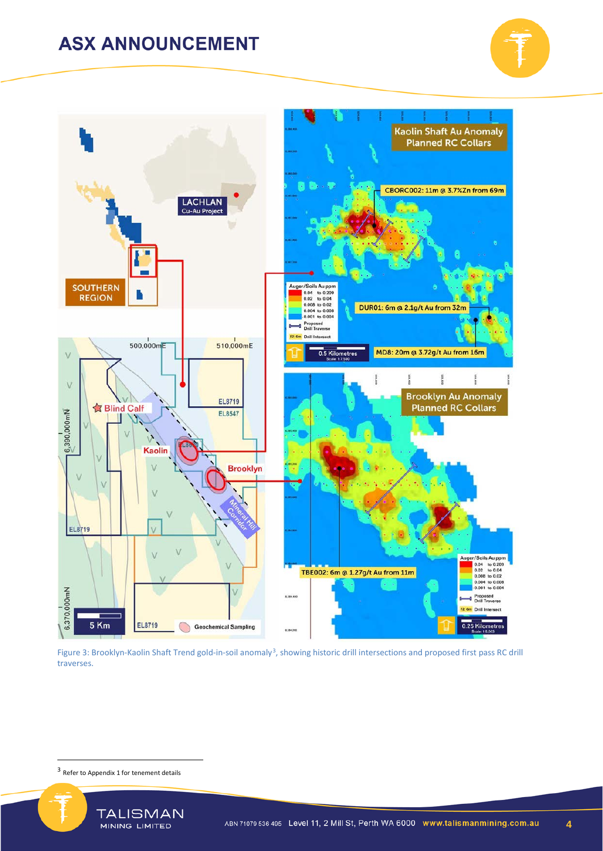



Figure [3](#page-3-0): Brooklyn-Kaolin Shaft Trend gold-in-soil anomaly<sup>3</sup>, showing historic drill intersections and proposed first pass RC drill traverses.

3 Refer to Appendix 1 for tenement details

<span id="page-3-0"></span>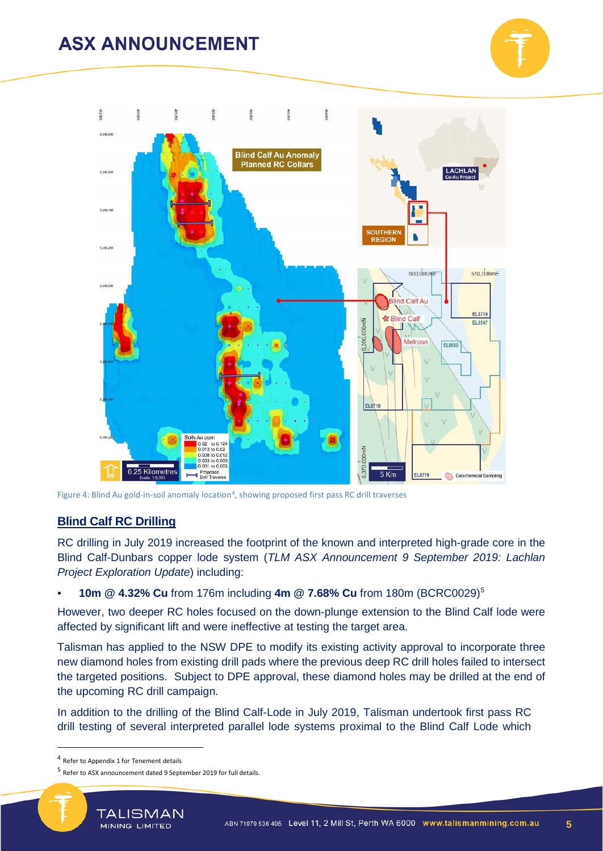



Figure 4: Blind Au gold-in-soil anomaly location<sup>4</sup>, showing proposed first pass RC drill traverses

#### **Blind Calf RC Drilling**

RC drilling in July 2019 increased the footprint of the known and interpreted high-grade core in the Blind Calf-Dunbars copper lode system (*TLM ASX Announcement 9 September 2019: Lachlan Project Exploration Update*) including:

• **10m @ 4.32% Cu** from 176m including **4m @ 7.68% Cu** from 180m (BCRC0029)[5](#page-4-1)

However, two deeper RC holes focused on the down-plunge extension to the Blind Calf lode were affected by significant lift and were ineffective at testing the target area.

Talisman has applied to the NSW DPE to modify its existing activity approval to incorporate three new diamond holes from existing drill pads where the previous deep RC drill holes failed to intersect the targeted positions. Subject to DPE approval, these diamond holes may be drilled at the end of the upcoming RC drill campaign.

In addition to the drilling of the Blind Calf-Lode in July 2019, Talisman undertook first pass RC drill testing of several interpreted parallel lode systems proximal to the Blind Calf Lode which

<span id="page-4-0"></span> <sup>4</sup> Refer to Appendix 1 for Tenement details

<span id="page-4-1"></span><sup>5</sup> Refer to ASX announcement dated 9 September 2019 for full details.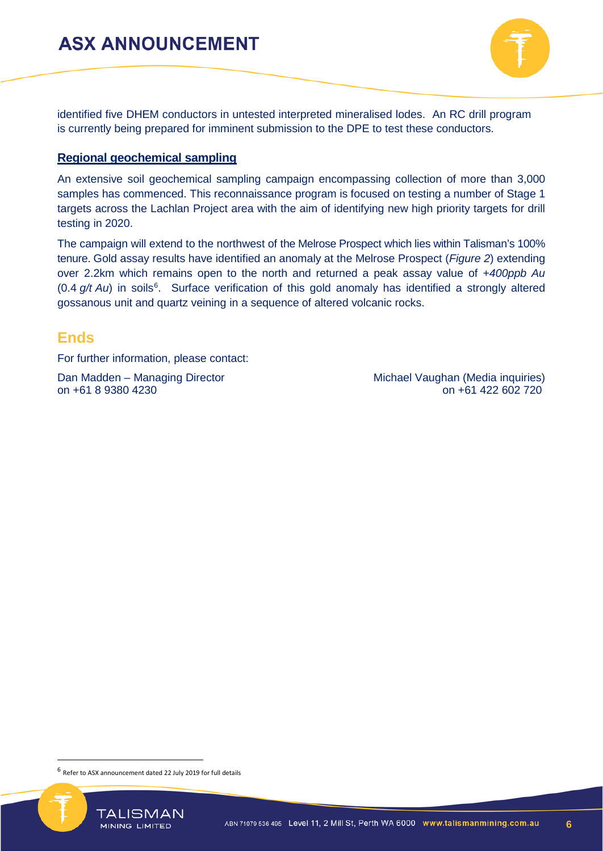

identified five DHEM conductors in untested interpreted mineralised lodes. An RC drill program is currently being prepared for imminent submission to the DPE to test these conductors.

#### **Regional geochemical sampling**

An extensive soil geochemical sampling campaign encompassing collection of more than 3,000 samples has commenced. This reconnaissance program is focused on testing a number of Stage 1 targets across the Lachlan Project area with the aim of identifying new high priority targets for drill testing in 2020.

The campaign will extend to the northwest of the Melrose Prospect which lies within Talisman's 100% tenure. Gold assay results have identified an anomaly at the Melrose Prospect (*Figure 2*) extending over 2.2km which remains open to the north and returned a peak assay value of *+400ppb Au* (0.4 g/t Au) in soils<sup>[6](#page-5-0)</sup>. Surface verification of this gold anomaly has identified a strongly altered gossanous unit and quartz veining in a sequence of altered volcanic rocks.

### **Ends**

For further information, please contact:

Dan Madden – Managing Director **Michael Vaughan (Media inquiries)** Michael Vaughan (Media inquiries) on +61 8 9380 4230 on +61 422 602 720

<span id="page-5-0"></span> <sup>6</sup> Refer to ASX announcement dated 22 July <sup>2019</sup> for full details

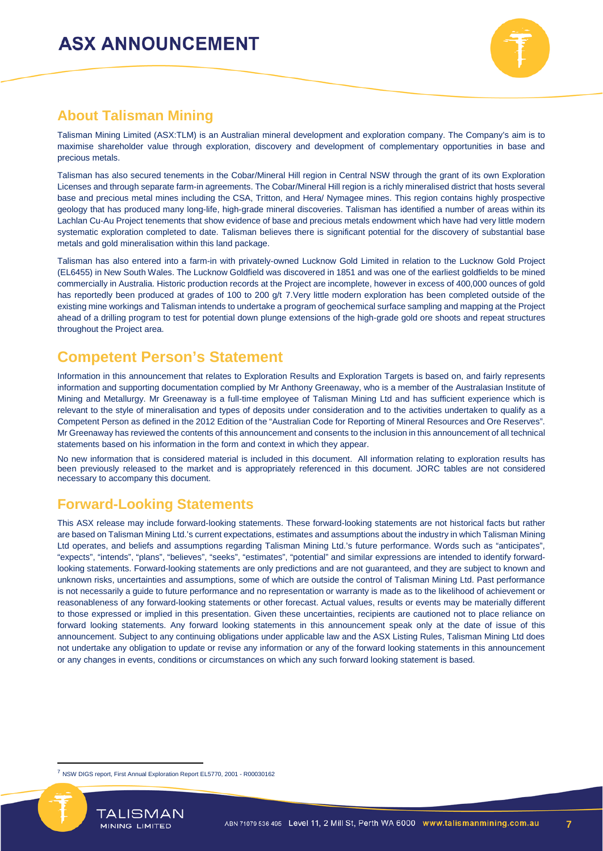

### **About Talisman Mining**

Talisman Mining Limited (ASX:TLM) is an Australian mineral development and exploration company. The Company's aim is to maximise shareholder value through exploration, discovery and development of complementary opportunities in base and precious metals.

Talisman has also secured tenements in the Cobar/Mineral Hill region in Central NSW through the grant of its own Exploration Licenses and through separate farm-in agreements. The Cobar/Mineral Hill region is a richly mineralised district that hosts several base and precious metal mines including the CSA, Tritton, and Hera/ Nymagee mines. This region contains highly prospective geology that has produced many long-life, high-grade mineral discoveries. Talisman has identified a number of areas within its Lachlan Cu-Au Project tenements that show evidence of base and precious metals endowment which have had very little modern systematic exploration completed to date. Talisman believes there is significant potential for the discovery of substantial base metals and gold mineralisation within this land package.

Talisman has also entered into a farm-in with privately-owned Lucknow Gold Limited in relation to the Lucknow Gold Project (EL6455) in New South Wales. The Lucknow Goldfield was discovered in 1851 and was one of the earliest goldfields to be mined commercially in Australia. Historic production records at the Project are incomplete, however in excess of 400,000 ounces of gold has reportedly been produced at grades of 100 to 200 g/t [7.](#page-6-0) Very little modern exploration has been completed outside of the existing mine workings and Talisman intends to undertake a program of geochemical surface sampling and mapping at the Project ahead of a drilling program to test for potential down plunge extensions of the high-grade gold ore shoots and repeat structures throughout the Project area.

### **Competent Person's Statement**

Information in this announcement that relates to Exploration Results and Exploration Targets is based on, and fairly represents information and supporting documentation complied by Mr Anthony Greenaway, who is a member of the Australasian Institute of Mining and Metallurgy. Mr Greenaway is a full-time employee of Talisman Mining Ltd and has sufficient experience which is relevant to the style of mineralisation and types of deposits under consideration and to the activities undertaken to qualify as a Competent Person as defined in the 2012 Edition of the "Australian Code for Reporting of Mineral Resources and Ore Reserves". Mr Greenaway has reviewed the contents of this announcement and consents to the inclusion in this announcement of all technical statements based on his information in the form and context in which they appear.

No new information that is considered material is included in this document. All information relating to exploration results has been previously released to the market and is appropriately referenced in this document. JORC tables are not considered necessary to accompany this document.

### **Forward-Looking Statements**

This ASX release may include forward-looking statements. These forward-looking statements are not historical facts but rather are based on Talisman Mining Ltd.'s current expectations, estimates and assumptions about the industry in which Talisman Mining Ltd operates, and beliefs and assumptions regarding Talisman Mining Ltd.'s future performance. Words such as "anticipates", "expects", "intends", "plans", "believes", "seeks", "estimates", "potential" and similar expressions are intended to identify forwardlooking statements. Forward-looking statements are only predictions and are not guaranteed, and they are subject to known and unknown risks, uncertainties and assumptions, some of which are outside the control of Talisman Mining Ltd. Past performance is not necessarily a guide to future performance and no representation or warranty is made as to the likelihood of achievement or reasonableness of any forward-looking statements or other forecast. Actual values, results or events may be materially different to those expressed or implied in this presentation. Given these uncertainties, recipients are cautioned not to place reliance on forward looking statements. Any forward looking statements in this announcement speak only at the date of issue of this announcement. Subject to any continuing obligations under applicable law and the ASX Listing Rules, Talisman Mining Ltd does not undertake any obligation to update or revise any information or any of the forward looking statements in this announcement or any changes in events, conditions or circumstances on which any such forward looking statement is based.

<span id="page-6-0"></span><sup>&</sup>lt;sup>7</sup> NSW DIGS report, First Annual Exploration Report EL5770, 2001 - R00030162



 $\overline{a}$